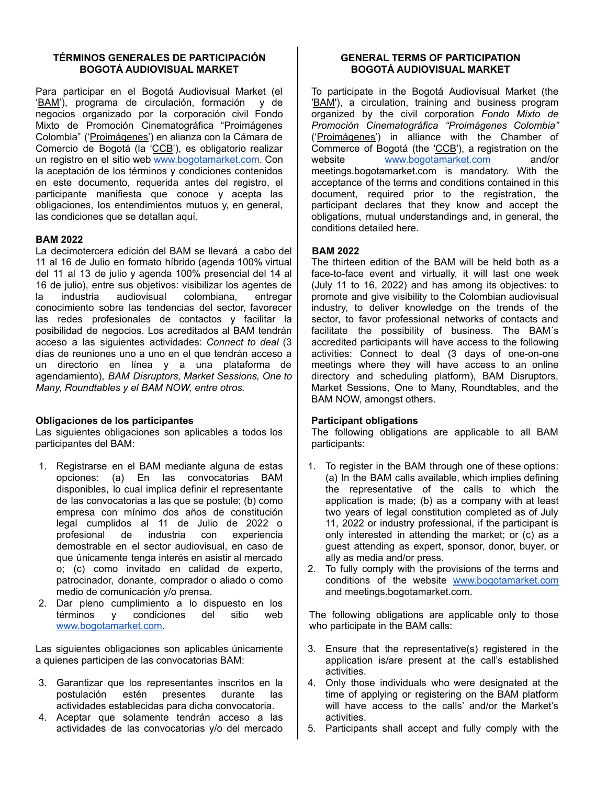### **TÉRMINOS GENERALES DE PARTICIPACIÓN BOGOTÁ AUDIOVISUAL MARKET**

Para participar en el Bogotá Audiovisual Market (el 'BAM'), programa de circulación, formación y de negocios organizado por la corporación civil Fondo Mixto de Promoción Cinematográfica "Proimágenes Colombia" ('Proimágenes') en alianza con la Cámara de Comercio de Bogotá (la 'CCB'), es obligatorio realizar un registro en el sitio web [www.bogotamarket.com.](http://www.bogotamarket.com) Con la aceptación de los términos y condiciones contenidos en este documento, requerida antes del registro, el participante manifiesta que conoce y acepta las obligaciones, los entendimientos mutuos y, en general, las condiciones que se detallan aquí.

## **BAM 2022**

La decimotercera edición del BAM se llevará a cabo del 11 al 16 de Julio en formato híbrido (agenda 100% virtual del 11 al 13 de julio y agenda 100% presencial del 14 al 16 de julio), entre sus objetivos: visibilizar los agentes de la industria audiovisual colombiana, entregar conocimiento sobre las tendencias del sector, favorecer las redes profesionales de contactos y facilitar la posibilidad de negocios. Los acreditados al BAM tendrán acceso a las siguientes actividades: *Connect to deal* (3 días de reuniones uno a uno en el que tendrán acceso a un directorio en línea y a una plataforma de agendamiento), *BAM Disruptors, Market Sessions, One to Many, Roundtables y el BAM NOW, entre otros.*

### **Obligaciones de los participantes**

Las siguientes obligaciones son aplicables a todos los participantes del BAM:

- 1. Registrarse en el BAM mediante alguna de estas opciones: (a) En las convocatorias BAM disponibles, lo cual implica definir el representante de las convocatorias a las que se postule; (b) como empresa con mínimo dos años de constitución legal cumplidos al 11 de Julio de 2022 o profesional de industria con experiencia demostrable en el sector audiovisual, en caso de que únicamente tenga interés en asistir al mercado o; (c) como invitado en calidad de experto, patrocinador, donante, comprador o aliado o como medio de comunicación y/o prensa.
- 2. Dar pleno cumplimiento a lo dispuesto en los términos y condiciones del sitio web [www.bogotamarket.com.](http://www.bogotamarket.com)

Las siguientes obligaciones son aplicables únicamente a quienes participen de las convocatorias BAM:

- 3. Garantizar que los representantes inscritos en la postulación estén presentes durante las actividades establecidas para dicha convocatoria.
- 4. Aceptar que solamente tendrán acceso a las actividades de las convocatorias y/o del mercado

## **GENERAL TERMS OF PARTICIPATION BOGOTÁ AUDIOVISUAL MARKET**

To participate in the Bogotá Audiovisual Market (the 'BAM'), a circulation, training and business program organized by the civil corporation *Fondo Mixto de Promoción Cinematográfica "Proimágenes Colombia"* ('Proimágenes') in alliance with the Chamber of Commerce of Bogotá (the 'CCB'), a registration on the website [www.bogotamarket.com](http://www.bogotamarket.com) and/or meetings.bogotamarket.com is mandatory. With the acceptance of the terms and conditions contained in this document, required prior to the registration, the participant declares that they know and accept the obligations, mutual understandings and, in general, the conditions detailed here.

# **BAM 2022**

The thirteen edition of the BAM will be held both as a face-to-face event and virtually, it will last one week (July 11 to 16, 2022) and has among its objectives: to promote and give visibility to the Colombian audiovisual industry, to deliver knowledge on the trends of the sector, to favor professional networks of contacts and facilitate the possibility of business. The BAM´s accredited participants will have access to the following activities: Connect to deal (3 days of one-on-one meetings where they will have access to an online directory and scheduling platform), BAM Disruptors, Market Sessions, One to Many, Roundtables, and the BAM NOW, amongst others.

### **Participant obligations**

The following obligations are applicable to all BAM participants:

- 1. To register in the BAM through one of these options: (a) In the BAM calls available, which implies defining the representative of the calls to which the application is made; (b) as a company with at least two years of legal constitution completed as of July 11, 2022 or industry professional, if the participant is only interested in attending the market; or (c) as a guest attending as expert, sponsor, donor, buyer, or ally as media and/or press.
- 2. To fully comply with the provisions of the terms and conditions of the website [www.bogotamarket.com](http://www.bogotamarket.com) and meetings.bogotamarket.com.

The following obligations are applicable only to those who participate in the BAM calls:

- 3. Ensure that the representative(s) registered in the application is/are present at the call's established activities.
- 4. Only those individuals who were designated at the time of applying or registering on the BAM platform will have access to the calls' and/or the Market's activities.
- 5. Participants shall accept and fully comply with the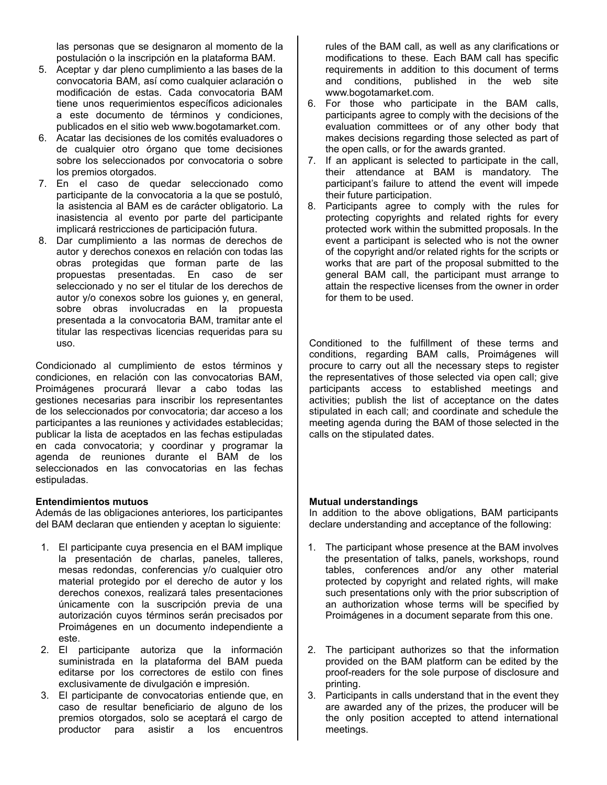las personas que se designaron al momento de la postulación o la inscripción en la plataforma BAM.

- 5. Aceptar y dar pleno cumplimiento a las bases de la convocatoria BAM, así como cualquier aclaración o modificación de estas. Cada convocatoria BAM tiene unos requerimientos específicos adicionales a este documento de términos y condiciones, publicados en el sitio web www.bogotamarket.com.
- 6. Acatar las decisiones de los comités evaluadores o de cualquier otro órgano que tome decisiones sobre los seleccionados por convocatoria o sobre los premios otorgados.
- 7. En el caso de quedar seleccionado como participante de la convocatoria a la que se postuló, la asistencia al BAM es de carácter obligatorio. La inasistencia al evento por parte del participante implicará restricciones de participación futura.
- 8. Dar cumplimiento a las normas de derechos de autor y derechos conexos en relación con todas las obras protegidas que forman parte de las propuestas presentadas. En caso de ser seleccionado y no ser el titular de los derechos de autor y/o conexos sobre los guiones y, en general, sobre obras involucradas en la propuesta presentada a la convocatoria BAM, tramitar ante el titular las respectivas licencias requeridas para su uso.

Condicionado al cumplimiento de estos términos y condiciones, en relación con las convocatorias BAM, Proimágenes procurará llevar a cabo todas las gestiones necesarias para inscribir los representantes de los seleccionados por convocatoria; dar acceso a los participantes a las reuniones y actividades establecidas; publicar la lista de aceptados en las fechas estipuladas en cada convocatoria; y coordinar y programar la agenda de reuniones durante el BAM de los seleccionados en las convocatorias en las fechas estipuladas.

### **Entendimientos mutuos**

Además de las obligaciones anteriores, los participantes del BAM declaran que entienden y aceptan lo siguiente:

- 1. El participante cuya presencia en el BAM implique la presentación de charlas, paneles, talleres, mesas redondas, conferencias y/o cualquier otro material protegido por el derecho de autor y los derechos conexos, realizará tales presentaciones únicamente con la suscripción previa de una autorización cuyos términos serán precisados por Proimágenes en un documento independiente a este.
- 2. El participante autoriza que la información suministrada en la plataforma del BAM pueda editarse por los correctores de estilo con fines exclusivamente de divulgación e impresión.
- 3. El participante de convocatorias entiende que, en caso de resultar beneficiario de alguno de los premios otorgados, solo se aceptará el cargo de productor para asistir a los encuentros

rules of the BAM call, as well as any clarifications or modifications to these. Each BAM call has specific requirements in addition to this document of terms and conditions, published in the web site www.bogotamarket.com.

- 6. For those who participate in the BAM calls, participants agree to comply with the decisions of the evaluation committees or of any other body that makes decisions regarding those selected as part of the open calls, or for the awards granted.
- 7. If an applicant is selected to participate in the call, their attendance at BAM is mandatory. The participant's failure to attend the event will impede their future participation.
- 8. Participants agree to comply with the rules for protecting copyrights and related rights for every protected work within the submitted proposals. In the event a participant is selected who is not the owner of the copyright and/or related rights for the scripts or works that are part of the proposal submitted to the general BAM call, the participant must arrange to attain the respective licenses from the owner in order for them to be used.

Conditioned to the fulfillment of these terms and conditions, regarding BAM calls, Proimágenes will procure to carry out all the necessary steps to register the representatives of those selected via open call; give participants access to established meetings and activities; publish the list of acceptance on the dates stipulated in each call; and coordinate and schedule the meeting agenda during the BAM of those selected in the calls on the stipulated dates.

## **Mutual understandings**

In addition to the above obligations, BAM participants declare understanding and acceptance of the following:

- 1. The participant whose presence at the BAM involves the presentation of talks, panels, workshops, round tables, conferences and/or any other material protected by copyright and related rights, will make such presentations only with the prior subscription of an authorization whose terms will be specified by Proimágenes in a document separate from this one.
- 2. The participant authorizes so that the information provided on the BAM platform can be edited by the proof-readers for the sole purpose of disclosure and printing.
- 3. Participants in calls understand that in the event they are awarded any of the prizes, the producer will be the only position accepted to attend international meetings.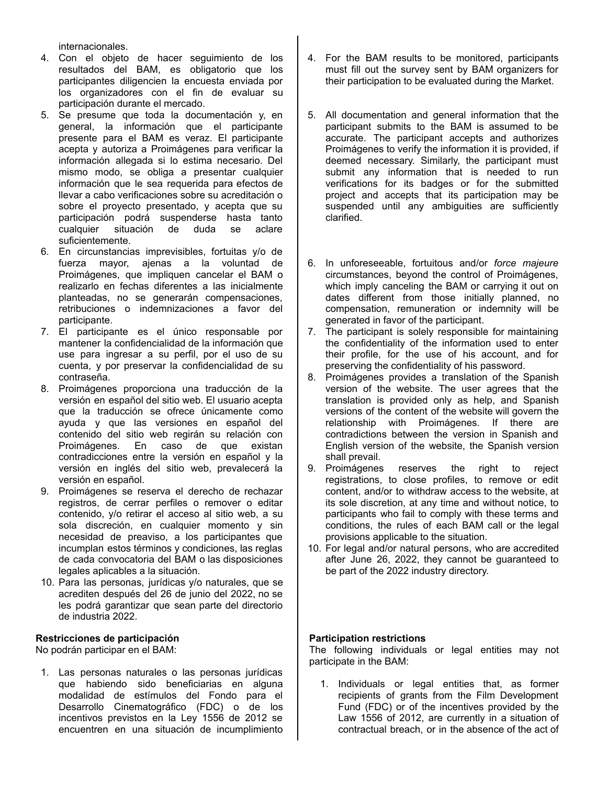internacionales.

- 4. Con el objeto de hacer seguimiento de los resultados del BAM, es obligatorio que los participantes diligencien la encuesta enviada por los organizadores con el fin de evaluar su participación durante el mercado.
- 5. Se presume que toda la documentación y, en general, la información que el participante presente para el BAM es veraz. El participante acepta y autoriza a Proimágenes para verificar la información allegada si lo estima necesario. Del mismo modo, se obliga a presentar cualquier información que le sea requerida para efectos de llevar a cabo verificaciones sobre su acreditación o sobre el proyecto presentado, y acepta que su participación podrá suspenderse hasta tanto<br>cualquier situación de duda se aclare cualquier situación de duda se aclare suficientemente.
- 6. En circunstancias imprevisibles, fortuitas y/o de fuerza mayor, ajenas a la voluntad de Proimágenes, que impliquen cancelar el BAM o realizarlo en fechas diferentes a las inicialmente planteadas, no se generarán compensaciones, retribuciones o indemnizaciones a favor del participante.
- 7. El participante es el único responsable por mantener la confidencialidad de la información que use para ingresar a su perfil, por el uso de su cuenta, y por preservar la confidencialidad de su contraseña.
- 8. Proimágenes proporciona una traducción de la versión en español del sitio web. El usuario acepta que la traducción se ofrece únicamente como ayuda y que las versiones en español del contenido del sitio web regirán su relación con Proimágenes. En caso de que existan contradicciones entre la versión en español y la versión en inglés del sitio web, prevalecerá la versión en español.
- 9. Proimágenes se reserva el derecho de rechazar registros, de cerrar perfiles o remover o editar contenido, y/o retirar el acceso al sitio web, a su sola discreción, en cualquier momento y sin necesidad de preaviso, a los participantes que incumplan estos términos y condiciones, las reglas de cada convocatoria del BAM o las disposiciones legales aplicables a la situación.
- 10. Para las personas, jurídicas y/o naturales, que se acrediten después del 26 de junio del 2022, no se les podrá garantizar que sean parte del directorio de industria 2022.

## **Restricciones de participación**

No podrán participar en el BAM:

1. Las personas naturales o las personas jurídicas que habiendo sido beneficiarias en alguna modalidad de estímulos del Fondo para el Desarrollo Cinematográfico (FDC) o de los incentivos previstos en la Ley 1556 de 2012 se encuentren en una situación de incumplimiento

- 4. For the BAM results to be monitored, participants must fill out the survey sent by BAM organizers for their participation to be evaluated during the Market.
- 5. All documentation and general information that the participant submits to the BAM is assumed to be accurate. The participant accepts and authorizes Proimágenes to verify the information it is provided, if deemed necessary. Similarly, the participant must submit any information that is needed to run verifications for its badges or for the submitted project and accepts that its participation may be suspended until any ambiguities are sufficiently clarified.
- 6. In unforeseeable, fortuitous and/or *force majeure* circumstances, beyond the control of Proimágenes, which imply canceling the BAM or carrying it out on dates different from those initially planned, no compensation, remuneration or indemnity will be generated in favor of the participant.
- 7. The participant is solely responsible for maintaining the confidentiality of the information used to enter their profile, for the use of his account, and for preserving the confidentiality of his password.
- 8. Proimágenes provides a translation of the Spanish version of the website. The user agrees that the translation is provided only as help, and Spanish versions of the content of the website will govern the relationship with Proimágenes. If there are contradictions between the version in Spanish and English version of the website, the Spanish version shall prevail.
- 9. Proimágenes reserves the right to reject registrations, to close profiles, to remove or edit content, and/or to withdraw access to the website, at its sole discretion, at any time and without notice, to participants who fail to comply with these terms and conditions, the rules of each BAM call or the legal provisions applicable to the situation.
- 10. For legal and/or natural persons, who are accredited after June 26, 2022, they cannot be guaranteed to be part of the 2022 industry directory.

## **Participation restrictions**

The following individuals or legal entities may not participate in the BAM:

1. Individuals or legal entities that, as former recipients of grants from the Film Development Fund (FDC) or of the incentives provided by the Law 1556 of 2012, are currently in a situation of contractual breach, or in the absence of the act of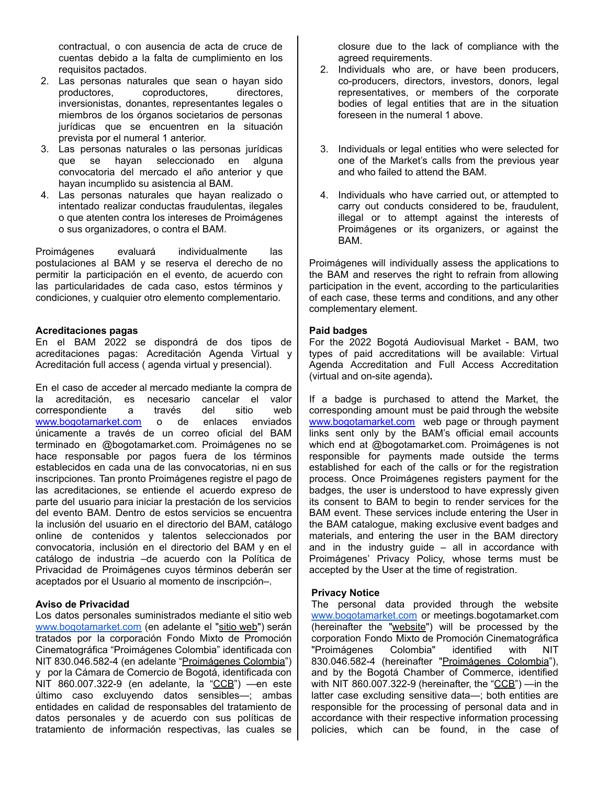contractual, o con ausencia de acta de cruce de cuentas debido a la falta de cumplimiento en los requisitos pactados.

- 2. Las personas naturales que sean o hayan sido productores, coproductores, directores, inversionistas, donantes, representantes legales o miembros de los órganos societarios de personas jurídicas que se encuentren en la situación prevista por el numeral 1 anterior.
- 3. Las personas naturales o las personas jurídicas que se hayan seleccionado en alguna convocatoria del mercado el año anterior y que hayan incumplido su asistencia al BAM.
- 4. Las personas naturales que hayan realizado o intentado realizar conductas fraudulentas, ilegales o que atenten contra los intereses de Proimágenes o sus organizadores, o contra el BAM.

Proimágenes evaluará individualmente las postulaciones al BAM y se reserva el derecho de no permitir la participación en el evento, de acuerdo con las particularidades de cada caso, estos términos y condiciones, y cualquier otro elemento complementario.

### **Acreditaciones pagas**

En el BAM 2022 se dispondrá de dos tipos de acreditaciones pagas: Acreditación Agenda Virtual y Acreditación full access ( agenda virtual y presencial).

En el caso de acceder al mercado mediante la compra de la acreditación, es necesario cancelar el valor correspondiente a través del sitio web [www.bogotamarket.com](http://www.bogotamarket.com) o de enlaces enviados únicamente a través de un correo oficial del BAM terminado en @bogotamarket.com. Proimágenes no se hace responsable por pagos fuera de los términos establecidos en cada una de las convocatorias, ni en sus inscripciones. Tan pronto Proimágenes registre el pago de las acreditaciones, se entiende el acuerdo expreso de parte del usuario para iniciar la prestación de los servicios del evento BAM. Dentro de estos servicios se encuentra la inclusión del usuario en el directorio del BAM, catálogo online de contenidos y talentos seleccionados por convocatoria, inclusión en el directorio del BAM y en el catálogo de industria –de acuerdo con la Política de Privacidad de Proimágenes cuyos términos deberán ser aceptados por el Usuario al momento de inscripción–.

### **Aviso de Privacidad**

Los datos personales suministrados mediante el sitio web [www.bogotamarket.com](http://www.bogotamarket.com) (en adelante el "sitio web") serán tratados por la corporación Fondo Mixto de Promoción Cinematográfica "Proimágenes Colombia" identificada con NIT 830.046.582-4 (en adelante "Proimágenes Colombia") y por la Cámara de Comercio de Bogotá, identificada con NIT 860.007.322-9 (en adelante, la "CCB") —en este último caso excluyendo datos sensibles—; ambas entidades en calidad de responsables del tratamiento de datos personales y de acuerdo con sus políticas de tratamiento de información respectivas, las cuales se closure due to the lack of compliance with the agreed requirements.

- 2. Individuals who are, or have been producers, co-producers, directors, investors, donors, legal representatives, or members of the corporate bodies of legal entities that are in the situation foreseen in the numeral 1 above.
- 3. Individuals or legal entities who were selected for one of the Market's calls from the previous year and who failed to attend the BAM.
- 4. Individuals who have carried out, or attempted to carry out conducts considered to be, fraudulent, illegal or to attempt against the interests of Proimágenes or its organizers, or against the BAM.

Proimágenes will individually assess the applications to the BAM and reserves the right to refrain from allowing participation in the event, according to the particularities of each case, these terms and conditions, and any other complementary element.

#### **Paid badges**

For the 2022 Bogotá Audiovisual Market - BAM, two types of paid accreditations will be available: Virtual Agenda Accreditation and Full Access Accreditation (virtual and on-site agenda)**.**

If a badge is purchased to attend the Market, the corresponding amount must be paid through the website [www.bogotamarket.com](http://www.bogotamarket.com) web page or through payment links sent only by the BAM's official email accounts which end at @bogotamarket.com. Proimágenes is not responsible for payments made outside the terms established for each of the calls or for the registration process. Once Proimágenes registers payment for the badges, the user is understood to have expressly given its consent to BAM to begin to render services for the BAM event. These services include entering the User in the BAM catalogue, making exclusive event badges and materials, and entering the user in the BAM directory and in the industry guide – all in accordance with Proimágenes' Privacy Policy, whose terms must be accepted by the User at the time of registration.

### **Privacy Notice**

The personal data provided through the website [www.bogotamarket.com](http://www.bogotamarket.com) or meetings.bogotamarket.com (hereinafter the "website") will be processed by the corporation Fondo Mixto de Promoción Cinematográfica "Proimágenes Colombia" identified with NIT 830.046.582-4 (hereinafter "Proimágenes Colombia"), and by the Bogotá Chamber of Commerce, identified with NIT 860.007.322-9 (hereinafter, the " $CCB$ ") —in the latter case excluding sensitive data—; both entities are responsible for the processing of personal data and in accordance with their respective information processing policies, which can be found, in the case of